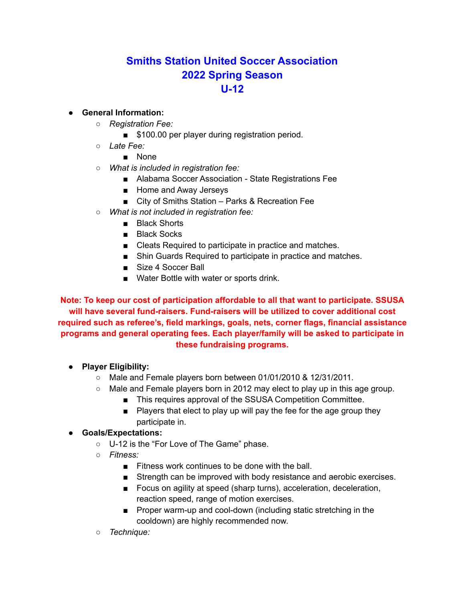## **Smiths Station United Soccer Association 2022 Spring Season U-12**

## ● **General Information:**

- *Registration Fee:*
	- \$100.00 per player during registration period.
- *Late Fee:*
	- None
- *What is included in registration fee:*
	- Alabama Soccer Association State Registrations Fee
	- Home and Away Jerseys
	- City of Smiths Station Parks & Recreation Fee
- *What is not included in registration fee:*
	- Black Shorts
	- Black Socks
	- Cleats Required to participate in practice and matches.
	- Shin Guards Required to participate in practice and matches.
	- Size 4 Soccer Ball
	- Water Bottle with water or sports drink.

**Note: To keep our cost of participation affordable to all that want to participate. SSUSA will have several fund-raisers. Fund-raisers will be utilized to cover additional cost required such as referee's, field markings, goals, nets, corner flags, financial assistance programs and general operating fees. Each player/family will be asked to participate in these fundraising programs.**

- **● Player Eligibility:**
	- Male and Female players born between 01/01/2010 & 12/31/2011.
	- $\circ$  Male and Female players born in 2012 may elect to play up in this age group.
		- This requires approval of the SSUSA Competition Committee.
		- Players that elect to play up will pay the fee for the age group they participate in.

## ● **Goals/Expectations:**

- U-12 is the "For Love of The Game" phase.
- *Fitness:*
	- Fitness work continues to be done with the ball.
	- Strength can be improved with body resistance and aerobic exercises.
	- Focus on agility at speed (sharp turns), acceleration, deceleration, reaction speed, range of motion exercises.
	- Proper warm-up and cool-down (including static stretching in the cooldown) are highly recommended now.
- *Technique:*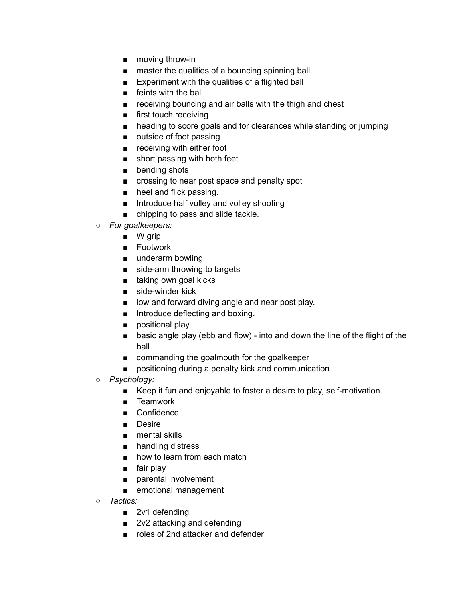- moving throw-in
- master the qualities of a bouncing spinning ball.
- Experiment with the qualities of a flighted ball
- feints with the ball
- receiving bouncing and air balls with the thigh and chest
- first touch receiving
- heading to score goals and for clearances while standing or jumping
- outside of foot passing
- receiving with either foot
- short passing with both feet
- bending shots
- crossing to near post space and penalty spot
- heel and flick passing.
- Introduce half volley and volley shooting
- chipping to pass and slide tackle.
- *For goalkeepers:*
	- W grip
	- Footwork
	- underarm bowling
	- side-arm throwing to targets
	- taking own goal kicks
	- side-winder kick
	- low and forward diving angle and near post play.
	- Introduce deflecting and boxing.
	- positional play
	- basic angle play (ebb and flow) into and down the line of the flight of the ball
	- commanding the goalmouth for the goalkeeper
	- positioning during a penalty kick and communication.
- *Psychology:*
	- Keep it fun and enjoyable to foster a desire to play, self-motivation.
	- Teamwork
	- Confidence
	- Desire
	- mental skills
	- handling distress
	- how to learn from each match
	- fair play
	- parental involvement
	- emotional management
- *○ Tactics:*
	- 2v1 defending
	- 2v2 attacking and defending
	- roles of 2nd attacker and defender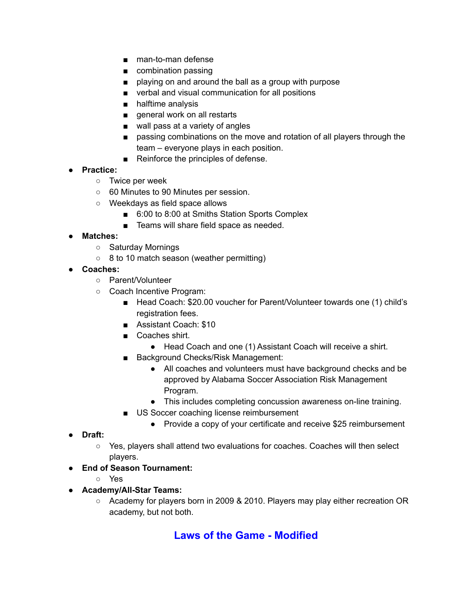- man-to-man defense
- combination passing
- playing on and around the ball as a group with purpose
- verbal and visual communication for all positions
- halftime analysis
- general work on all restarts
- wall pass at a variety of angles
- passing combinations on the move and rotation of all players through the team – everyone plays in each position.
- Reinforce the principles of defense.
- **Practice:**
	- Twice per week
	- 60 Minutes to 90 Minutes per session.
	- Weekdays as field space allows
		- 6:00 to 8:00 at Smiths Station Sports Complex
		- Teams will share field space as needed.
- **● Matches:**
	- Saturday Mornings
	- 8 to 10 match season (weather permitting)
- **Coaches:**
	- Parent/Volunteer
	- Coach Incentive Program:
		- Head Coach: \$20.00 voucher for Parent/Volunteer towards one (1) child's registration fees.
		- Assistant Coach: \$10
		- Coaches shirt.
			- Head Coach and one (1) Assistant Coach will receive a shirt.
		- Background Checks/Risk Management:
			- All coaches and volunteers must have background checks and be approved by Alabama Soccer Association Risk Management Program.
			- This includes completing concussion awareness on-line training.
		- US Soccer coaching license reimbursement
			- Provide a copy of your certificate and receive \$25 reimbursement
- **Draft:**
	- Yes, players shall attend two evaluations for coaches. Coaches will then select players.
- **End of Season Tournament:**
	- Yes
- **Academy/All-Star Teams:**
	- Academy for players born in 2009 & 2010. Players may play either recreation OR academy, but not both.

## **Laws of the Game - Modified**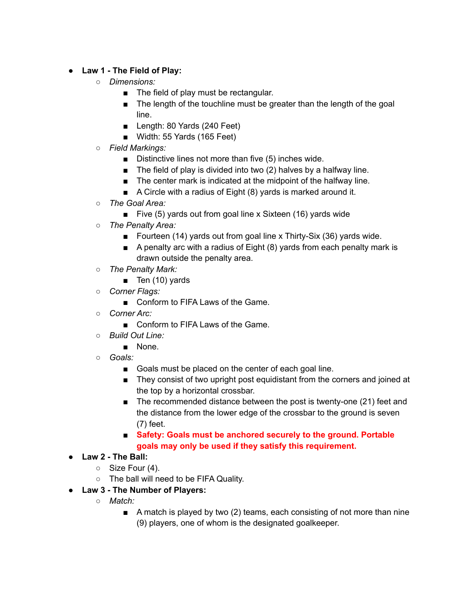- **Law 1 - The Field of Play:**
	- *○ Dimensions:*
		- The field of play must be rectangular.
		- The length of the touchline must be greater than the length of the goal line.
		- Length: 80 Yards (240 Feet)
		- Width: 55 Yards (165 Feet)
	- *Field Markings:*
		- Distinctive lines not more than five (5) inches wide.
		- $\blacksquare$  The field of play is divided into two (2) halves by a halfway line.
		- The center mark is indicated at the midpoint of the halfway line.
		- A Circle with a radius of Eight (8) yards is marked around it.
	- *The Goal Area:*
		- Five (5) yards out from goal line x Sixteen (16) yards wide
	- *The Penalty Area:*
		- Fourteen (14) yards out from goal line x Thirty-Six (36) yards wide.
		- A penalty arc with a radius of Eight (8) yards from each penalty mark is drawn outside the penalty area.
	- *The Penalty Mark:*
		- Ten (10) yards
	- *○ Corner Flags:*
		- Conform to FIFA Laws of the Game.
	- *○ Corner Arc:*
		- Conform to FIFA Laws of the Game.
	- *Build Out Line:*
		- None.
	- *○ Goals:*
		- Goals must be placed on the center of each goal line.
		- They consist of two upright post equidistant from the corners and joined at the top by a horizontal crossbar.
		- The recommended distance between the post is twenty-one (21) feet and the distance from the lower edge of the crossbar to the ground is seven (7) feet.
		- **Safety: Goals must be anchored securely to the ground. Portable goals may only be used if they satisfy this requirement.**
- **● Law 2 - The Ball:**
	- Size Four (4).
	- The ball will need to be FIFA Quality.
- **● Law 3 - The Number of Players:**
	- *○ Match:*
		- A match is played by two (2) teams, each consisting of not more than nine (9) players, one of whom is the designated goalkeeper.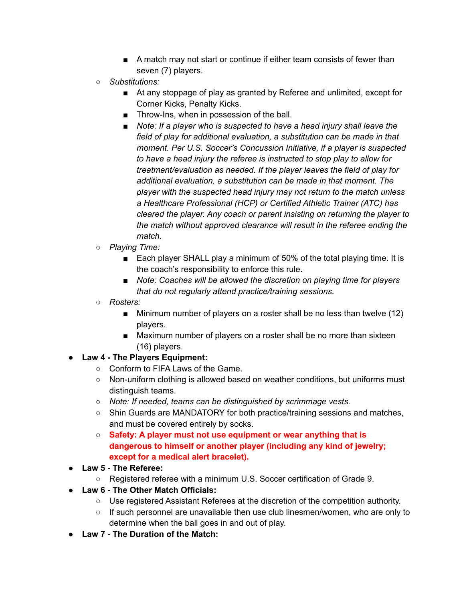- A match may not start or continue if either team consists of fewer than seven (7) players.
- *Substitutions:*
	- At any stoppage of play as granted by Referee and unlimited, except for Corner Kicks, Penalty Kicks.
	- Throw-Ins, when in possession of the ball.
	- *■ Note: If a player who is suspected to have a head injury shall leave the field of play for additional evaluation, a substitution can be made in that moment. Per U.S. Soccer's Concussion Initiative, if a player is suspected to have a head injury the referee is instructed to stop play to allow for treatment/evaluation as needed. If the player leaves the field of play for additional evaluation, a substitution can be made in that moment. The player with the suspected head injury may not return to the match unless a Healthcare Professional (HCP) or Certified Athletic Trainer (ATC) has cleared the player. Any coach or parent insisting on returning the player to the match without approved clearance will result in the referee ending the match.*
- *○ Playing Time:*
	- Each player SHALL play a minimum of 50% of the total playing time. It is the coach's responsibility to enforce this rule.
	- *Note:* Coaches will be allowed the discretion on playing time for players *that do not regularly attend practice/training sessions.*
- *Rosters:*
	- Minimum number of players on a roster shall be no less than twelve (12) players.
	- Maximum number of players on a roster shall be no more than sixteen (16) players.
- **● Law 4 - The Players Equipment:**
	- Conform to FIFA Laws of the Game.
	- Non-uniform clothing is allowed based on weather conditions, but uniforms must distinguish teams.
	- *Note: If needed, teams can be distinguished by scrimmage vests.*
	- Shin Guards are MANDATORY for both practice/training sessions and matches, and must be covered entirely by socks.
	- **Safety: A player must not use equipment or wear anything that is dangerous to himself or another player (including any kind of jewelry; except for a medical alert bracelet).**
- **● Law 5 - The Referee:**
	- Registered referee with a minimum U.S. Soccer certification of Grade 9.
- **Law 6 - The Other Match Officials:**
	- Use registered Assistant Referees at the discretion of the competition authority.
	- $\circ$  If such personnel are unavailable then use club linesmen/women, who are only to determine when the ball goes in and out of play.
- **Law 7 - The Duration of the Match:**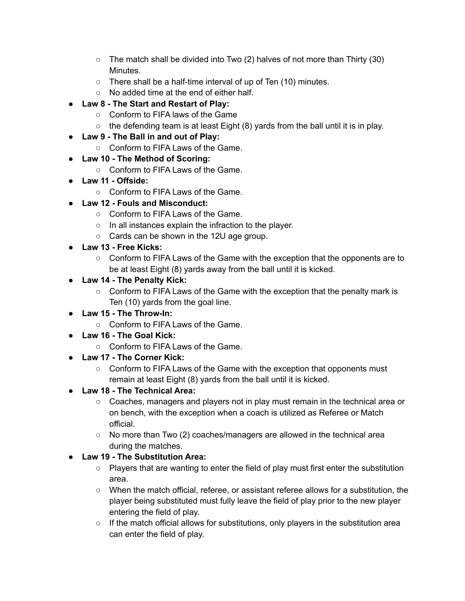- $\circ$  The match shall be divided into Two (2) halves of not more than Thirty (30) Minutes.
- There shall be a half-time interval of up of Ten (10) minutes.
- No added time at the end of either half.
- **● Law 8 - The Start and Restart of Play:**
	- Conform to FIFA laws of the Game
	- $\circ$  the defending team is at least Eight (8) yards from the ball until it is in play.
- **● Law 9 - The Ball in and out of Play:**
	- Conform to FIFA Laws of the Game.
- **● Law 10 - The Method of Scoring:**
	- Conform to FIFA Laws of the Game.
- **● Law 11 - Offside:**
	- Conform to FIFA Laws of the Game.
- **Law 12 - Fouls and Misconduct:**
	- Conform to FIFA Laws of the Game.
	- In all instances explain the infraction to the player.
	- Cards can be shown in the 12U age group.
- **Law 13 - Free Kicks:**
	- Conform to FIFA Laws of the Game with the exception that the opponents are to be at least Eight (8) yards away from the ball until it is kicked.
- **Law 14 - The Penalty Kick:**
	- Conform to FIFA Laws of the Game with the exception that the penalty mark is Ten (10) yards from the goal line.
- **● Law 15 - The Throw-In:**
	- Conform to FIFA Laws of the Game.
- **● Law 16 - The Goal Kick:**
	- Conform to FIFA Laws of the Game.
- **● Law 17 - The Corner Kick:**
	- Conform to FIFA Laws of the Game with the exception that opponents must remain at least Eight (8) yards from the ball until it is kicked.
- **● Law 18 - The Technical Area:**
	- Coaches, managers and players not in play must remain in the technical area or on bench, with the exception when a coach is utilized as Referee or Match official.
	- $\circ$  No more than Two (2) coaches/managers are allowed in the technical area during the matches.
- **Law 19 - The Substitution Area:**
	- Players that are wanting to enter the field of play must first enter the substitution area.
	- When the match official, referee, or assistant referee allows for a substitution, the player being substituted must fully leave the field of play prior to the new player entering the field of play.
	- $\circ$  If the match official allows for substitutions, only players in the substitution area can enter the field of play.